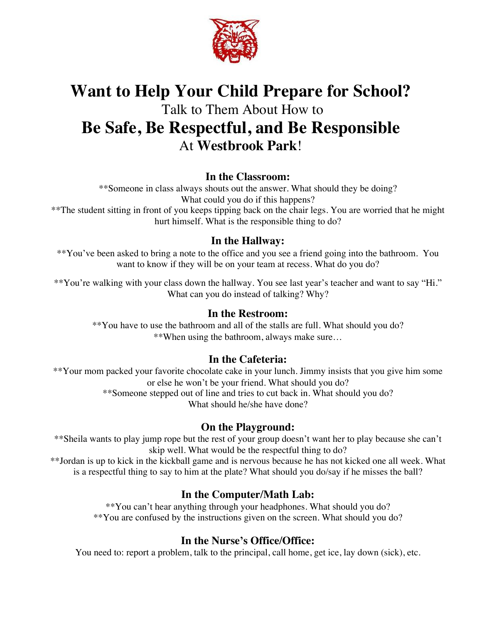

## **Want to Help Your Child Prepare for School?** Talk to Them About How to **Be Safe, Be Respectful, and Be Responsible** At **Westbrook Park**!

#### **In the Classroom:**

\*\*Someone in class always shouts out the answer. What should they be doing? What could you do if this happens? \*\*The student sitting in front of you keeps tipping back on the chair legs. You are worried that he might

hurt himself. What is the responsible thing to do?

#### **In the Hallway:**

\*\*You've been asked to bring a note to the office and you see a friend going into the bathroom. You want to know if they will be on your team at recess. What do you do?

\*\*You're walking with your class down the hallway. You see last year's teacher and want to say "Hi." What can you do instead of talking? Why?

#### **In the Restroom:**

\*\*You have to use the bathroom and all of the stalls are full. What should you do? \*\*When using the bathroom, always make sure…

### **In the Cafeteria:**

\*\*Your mom packed your favorite chocolate cake in your lunch. Jimmy insists that you give him some or else he won't be your friend. What should you do? \*\*Someone stepped out of line and tries to cut back in. What should you do? What should he/she have done?

### **On the Playground:**

\*\*Sheila wants to play jump rope but the rest of your group doesn't want her to play because she can't skip well. What would be the respectful thing to do? \*\*Jordan is up to kick in the kickball game and is nervous because he has not kicked one all week. What

is a respectful thing to say to him at the plate? What should you do/say if he misses the ball?

## **In the Computer/Math Lab:**

\*\*You can't hear anything through your headphones. What should you do? \*\*You are confused by the instructions given on the screen. What should you do?

## **In the Nurse's Office/Office:**

You need to: report a problem, talk to the principal, call home, get ice, lay down (sick), etc.